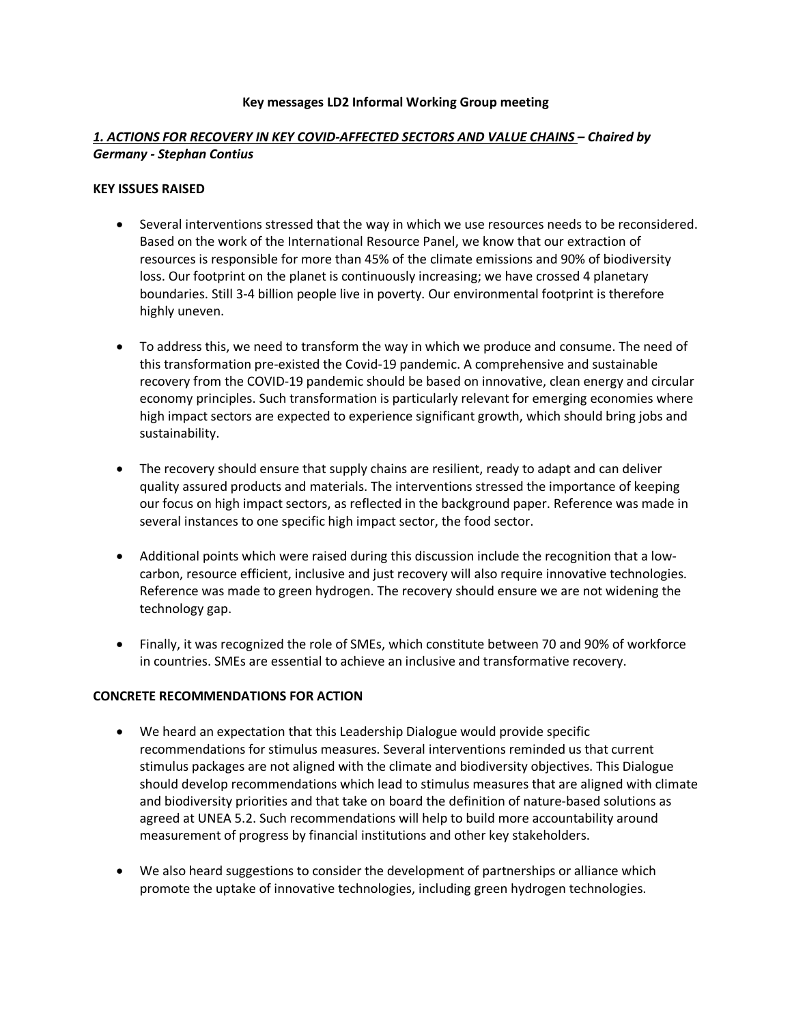#### **Key messages LD2 Informal Working Group meeting**

### *1. ACTIONS FOR RECOVERY IN KEY COVID-AFFECTED SECTORS AND VALUE CHAINS – Chaired by Germany - Stephan Contius*

#### **KEY ISSUES RAISED**

- Several interventions stressed that the way in which we use resources needs to be reconsidered. Based on the work of the International Resource Panel, we know that our extraction of resources is responsible for more than 45% of the climate emissions and 90% of biodiversity loss. Our footprint on the planet is continuously increasing; we have crossed 4 planetary boundaries. Still 3-4 billion people live in poverty. Our environmental footprint is therefore highly uneven.
- To address this, we need to transform the way in which we produce and consume. The need of this transformation pre-existed the Covid-19 pandemic. A comprehensive and sustainable recovery from the COVID-19 pandemic should be based on innovative, clean energy and circular economy principles. Such transformation is particularly relevant for emerging economies where high impact sectors are expected to experience significant growth, which should bring jobs and sustainability.
- The recovery should ensure that supply chains are resilient, ready to adapt and can deliver quality assured products and materials. The interventions stressed the importance of keeping our focus on high impact sectors, as reflected in the background paper. Reference was made in several instances to one specific high impact sector, the food sector.
- Additional points which were raised during this discussion include the recognition that a lowcarbon, resource efficient, inclusive and just recovery will also require innovative technologies. Reference was made to green hydrogen. The recovery should ensure we are not widening the technology gap.
- Finally, it was recognized the role of SMEs, which constitute between 70 and 90% of workforce in countries. SMEs are essential to achieve an inclusive and transformative recovery.

#### **CONCRETE RECOMMENDATIONS FOR ACTION**

- We heard an expectation that this Leadership Dialogue would provide specific recommendations for stimulus measures. Several interventions reminded us that current stimulus packages are not aligned with the climate and biodiversity objectives. This Dialogue should develop recommendations which lead to stimulus measures that are aligned with climate and biodiversity priorities and that take on board the definition of nature-based solutions as agreed at UNEA 5.2. Such recommendations will help to build more accountability around measurement of progress by financial institutions and other key stakeholders.
- We also heard suggestions to consider the development of partnerships or alliance which promote the uptake of innovative technologies, including green hydrogen technologies.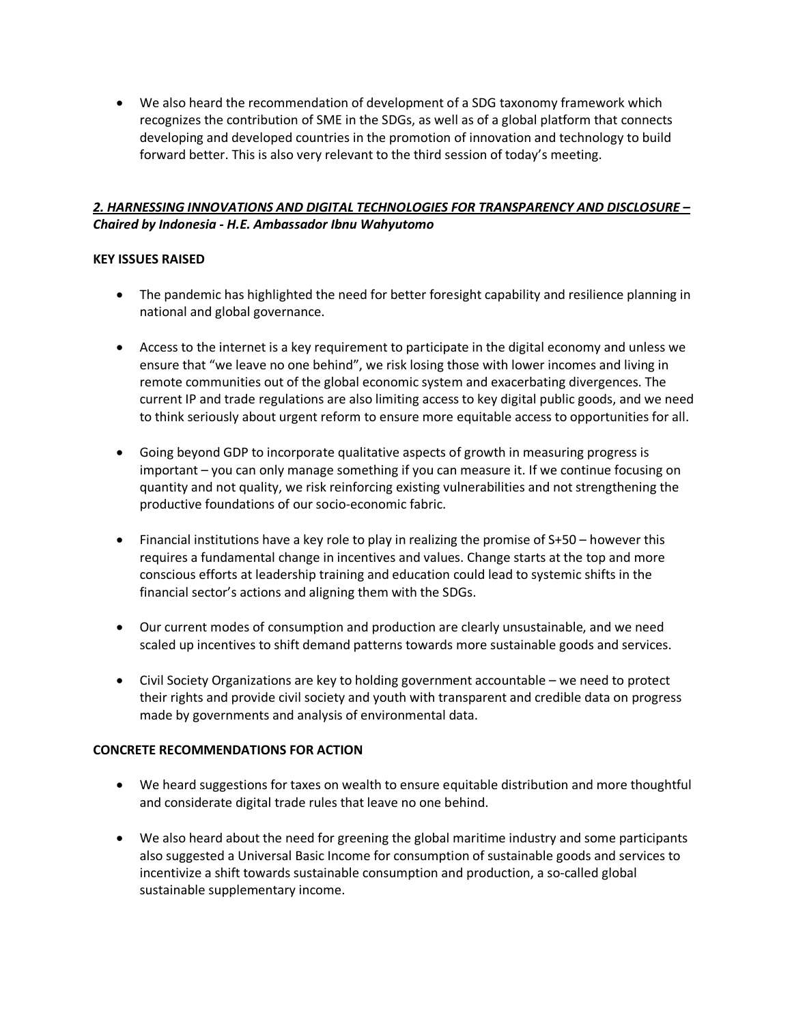• We also heard the recommendation of development of a SDG taxonomy framework which recognizes the contribution of SME in the SDGs, as well as of a global platform that connects developing and developed countries in the promotion of innovation and technology to build forward better. This is also very relevant to the third session of today's meeting.

# *2. HARNESSING INNOVATIONS AND DIGITAL TECHNOLOGIES FOR TRANSPARENCY AND DISCLOSURE – Chaired by Indonesia - H.E. Ambassador Ibnu Wahyutomo*

### **KEY ISSUES RAISED**

- The pandemic has highlighted the need for better foresight capability and resilience planning in national and global governance.
- Access to the internet is a key requirement to participate in the digital economy and unless we ensure that "we leave no one behind", we risk losing those with lower incomes and living in remote communities out of the global economic system and exacerbating divergences. The current IP and trade regulations are also limiting access to key digital public goods, and we need to think seriously about urgent reform to ensure more equitable access to opportunities for all.
- Going beyond GDP to incorporate qualitative aspects of growth in measuring progress is important – you can only manage something if you can measure it. If we continue focusing on quantity and not quality, we risk reinforcing existing vulnerabilities and not strengthening the productive foundations of our socio-economic fabric.
- Financial institutions have a key role to play in realizing the promise of S+50 however this requires a fundamental change in incentives and values. Change starts at the top and more conscious efforts at leadership training and education could lead to systemic shifts in the financial sector's actions and aligning them with the SDGs.
- Our current modes of consumption and production are clearly unsustainable, and we need scaled up incentives to shift demand patterns towards more sustainable goods and services.
- Civil Society Organizations are key to holding government accountable we need to protect their rights and provide civil society and youth with transparent and credible data on progress made by governments and analysis of environmental data.

#### **CONCRETE RECOMMENDATIONS FOR ACTION**

- We heard suggestions for taxes on wealth to ensure equitable distribution and more thoughtful and considerate digital trade rules that leave no one behind.
- We also heard about the need for greening the global maritime industry and some participants also suggested a Universal Basic Income for consumption of sustainable goods and services to incentivize a shift towards sustainable consumption and production, a so-called global sustainable supplementary income.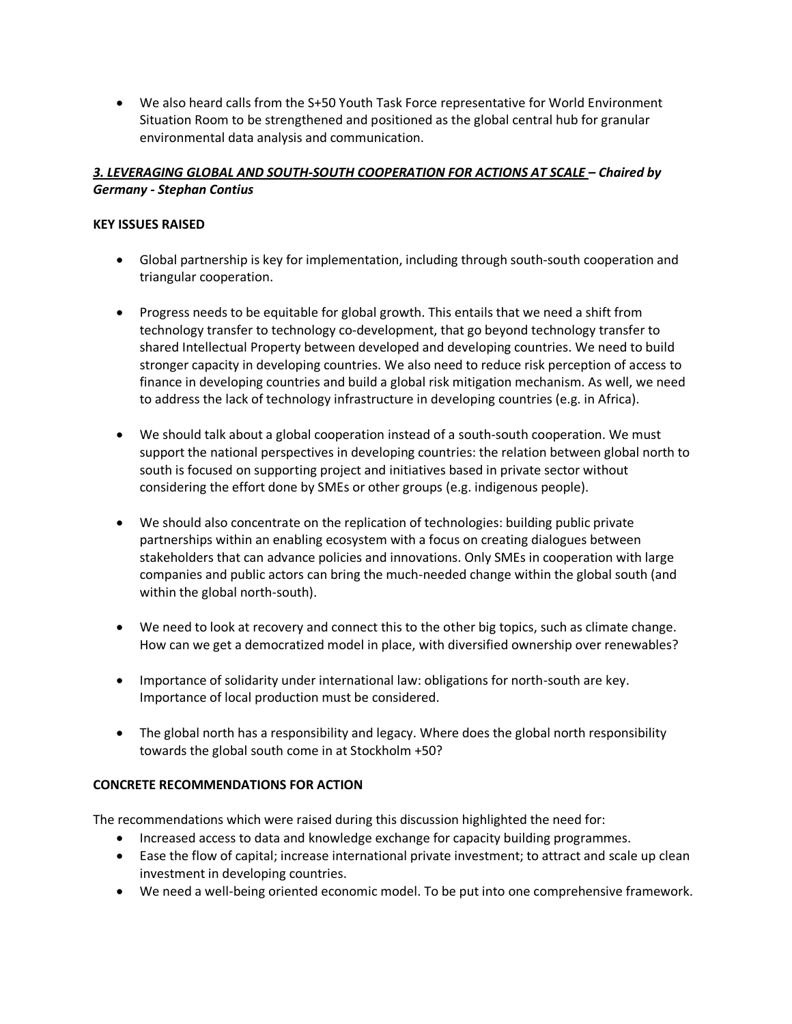• We also heard calls from the S+50 Youth Task Force representative for World Environment Situation Room to be strengthened and positioned as the global central hub for granular environmental data analysis and communication.

# *3. LEVERAGING GLOBAL AND SOUTH-SOUTH COOPERATION FOR ACTIONS AT SCALE – Chaired by Germany - Stephan Contius*

# **KEY ISSUES RAISED**

- Global partnership is key for implementation, including through south-south cooperation and triangular cooperation.
- Progress needs to be equitable for global growth. This entails that we need a shift from technology transfer to technology co-development, that go beyond technology transfer to shared Intellectual Property between developed and developing countries. We need to build stronger capacity in developing countries. We also need to reduce risk perception of access to finance in developing countries and build a global risk mitigation mechanism. As well, we need to address the lack of technology infrastructure in developing countries (e.g. in Africa).
- We should talk about a global cooperation instead of a south-south cooperation. We must support the national perspectives in developing countries: the relation between global north to south is focused on supporting project and initiatives based in private sector without considering the effort done by SMEs or other groups (e.g. indigenous people).
- We should also concentrate on the replication of technologies: building public private partnerships within an enabling ecosystem with a focus on creating dialogues between stakeholders that can advance policies and innovations. Only SMEs in cooperation with large companies and public actors can bring the much-needed change within the global south (and within the global north-south).
- We need to look at recovery and connect this to the other big topics, such as climate change. How can we get a democratized model in place, with diversified ownership over renewables?
- Importance of solidarity under international law: obligations for north-south are key. Importance of local production must be considered.
- The global north has a responsibility and legacy. Where does the global north responsibility towards the global south come in at Stockholm +50?

# **CONCRETE RECOMMENDATIONS FOR ACTION**

The recommendations which were raised during this discussion highlighted the need for:

- Increased access to data and knowledge exchange for capacity building programmes.
- Ease the flow of capital; increase international private investment; to attract and scale up clean investment in developing countries.
- We need a well-being oriented economic model. To be put into one comprehensive framework.